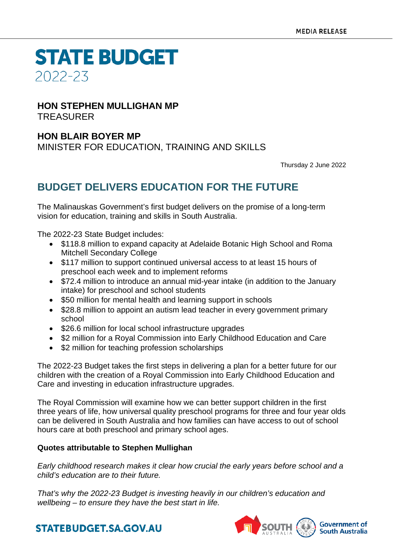**STATE BUDGET** 2022-23

#### **HON STEPHEN MULLIGHAN MP** TREASURER

### **HON BLAIR BOYER MP**

MINISTER FOR EDUCATION, TRAINING AND SKILLS

Thursday 2 June 2022

## **BUDGET DELIVERS EDUCATION FOR THE FUTURE**

The Malinauskas Government's first budget delivers on the promise of a long-term vision for education, training and skills in South Australia.

The 2022-23 State Budget includes:

- \$118.8 million to expand capacity at Adelaide Botanic High School and Roma Mitchell Secondary College
- \$117 million to support continued universal access to at least 15 hours of preschool each week and to implement reforms
- \$72.4 million to introduce an annual mid-year intake (in addition to the January intake) for preschool and school students
- \$50 million for mental health and learning support in schools
- \$28.8 million to appoint an autism lead teacher in every government primary school
- \$26.6 million for local school infrastructure upgrades
- \$2 million for a Royal Commission into Early Childhood Education and Care
- \$2 million for teaching profession scholarships

The 2022-23 Budget takes the first steps in delivering a plan for a better future for our children with the creation of a Royal Commission into Early Childhood Education and Care and investing in education infrastructure upgrades.

The Royal Commission will examine how we can better support children in the first three years of life, how universal quality preschool programs for three and four year olds can be delivered in South Australia and how families can have access to out of school hours care at both preschool and primary school ages.

#### **Quotes attributable to Stephen Mullighan**

*Early childhood research makes it clear how crucial the early years before school and a child's education are to their future.* 

*That's why the 2022-23 Budget is investing heavily in our children's education and wellbeing – to ensure they have the best start in life.* 



## **STATEBUDGET.SA.GOV.AU**